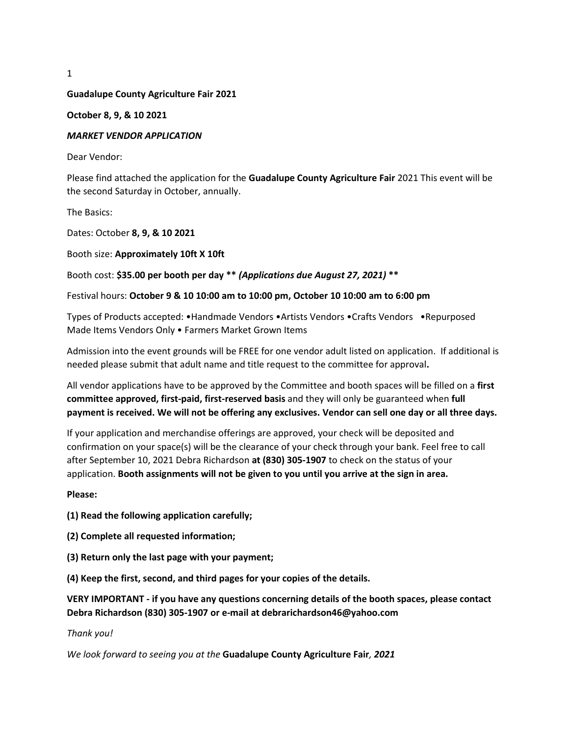1

#### **Guadalupe County Agriculture Fair 2021**

#### **October 8, 9, & 10 2021**

#### *MARKET VENDOR APPLICATION*

Dear Vendor:

Please find attached the application for the **Guadalupe County Agriculture Fair** 2021 This event will be the second Saturday in October, annually.

The Basics:

Dates: October **8, 9, & 10 2021**

Booth size: **Approximately 10ft X 10ft** 

Booth cost: **\$35.00 per booth per day \*\*** *(Applications due August 27, 2021)* **\*\*** 

#### Festival hours: **October 9 & 10 10:00 am to 10:00 pm, October 10 10:00 am to 6:00 pm**

Types of Products accepted: •Handmade Vendors •Artists Vendors •Crafts Vendors •Repurposed Made Items Vendors Only • Farmers Market Grown Items

Admission into the event grounds will be FREE for one vendor adult listed on application. If additional is needed please submit that adult name and title request to the committee for approval**.** 

All vendor applications have to be approved by the Committee and booth spaces will be filled on a **first committee approved, first-paid, first-reserved basis** and they will only be guaranteed when **full payment is received. We will not be offering any exclusives. Vendor can sell one day or all three days.**

If your application and merchandise offerings are approved, your check will be deposited and confirmation on your space(s) will be the clearance of your check through your bank. Feel free to call after September 10, 2021 Debra Richardson **at (830) 305-1907** to check on the status of your application. **Booth assignments will not be given to you until you arrive at the sign in area.** 

**Please:** 

**(1) Read the following application carefully;** 

- **(2) Complete all requested information;**
- **(3) Return only the last page with your payment;**

**(4) Keep the first, second, and third pages for your copies of the details.** 

**VERY IMPORTANT - if you have any questions concerning details of the booth spaces, please contact Debra Richardson (830) 305-1907 or e-mail at debrarichardson46@yahoo.com**

*Thank you!* 

*We look forward to seeing you at the* **Guadalupe County Agriculture Fair***, 2021*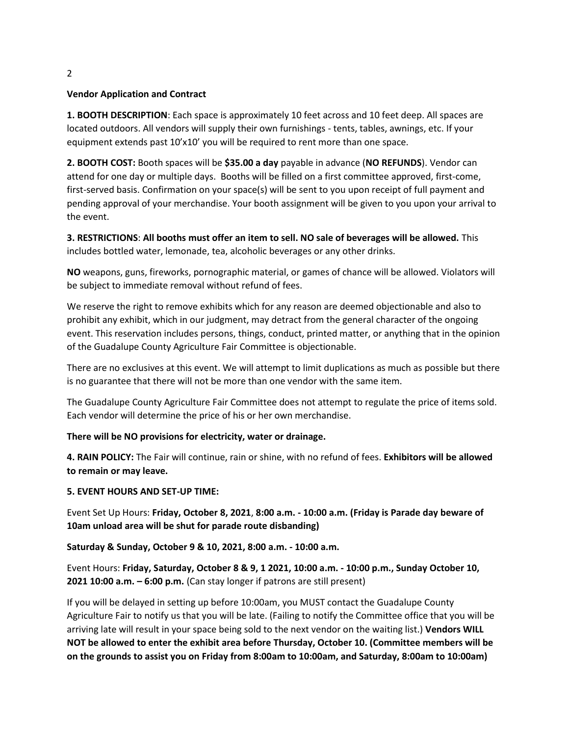## **Vendor Application and Contract**

**1. BOOTH DESCRIPTION**: Each space is approximately 10 feet across and 10 feet deep. All spaces are located outdoors. All vendors will supply their own furnishings - tents, tables, awnings, etc. If your equipment extends past 10'x10' you will be required to rent more than one space.

**2. BOOTH COST:** Booth spaces will be **\$35.00 a day** payable in advance (**NO REFUNDS**). Vendor can attend for one day or multiple days. Booths will be filled on a first committee approved, first-come, first-served basis. Confirmation on your space(s) will be sent to you upon receipt of full payment and pending approval of your merchandise. Your booth assignment will be given to you upon your arrival to the event.

**3. RESTRICTIONS**: **All booths must offer an item to sell. NO sale of beverages will be allowed.** This includes bottled water, lemonade, tea, alcoholic beverages or any other drinks.

**NO** weapons, guns, fireworks, pornographic material, or games of chance will be allowed. Violators will be subject to immediate removal without refund of fees.

We reserve the right to remove exhibits which for any reason are deemed objectionable and also to prohibit any exhibit, which in our judgment, may detract from the general character of the ongoing event. This reservation includes persons, things, conduct, printed matter, or anything that in the opinion of the Guadalupe County Agriculture Fair Committee is objectionable.

There are no exclusives at this event. We will attempt to limit duplications as much as possible but there is no guarantee that there will not be more than one vendor with the same item.

The Guadalupe County Agriculture Fair Committee does not attempt to regulate the price of items sold. Each vendor will determine the price of his or her own merchandise.

## **There will be NO provisions for electricity, water or drainage.**

**4. RAIN POLICY:** The Fair will continue, rain or shine, with no refund of fees. **Exhibitors will be allowed to remain or may leave.** 

## **5. EVENT HOURS AND SET-UP TIME:**

Event Set Up Hours: **Friday, October 8, 2021**, **8:00 a.m. - 10:00 a.m. (Friday is Parade day beware of 10am unload area will be shut for parade route disbanding)**

## **Saturday & Sunday, October 9 & 10, 2021, 8:00 a.m. - 10:00 a.m.**

Event Hours: **Friday, Saturday, October 8 & 9, 1 2021, 10:00 a.m. - 10:00 p.m., Sunday October 10, 2021 10:00 a.m. – 6:00 p.m.** (Can stay longer if patrons are still present)

If you will be delayed in setting up before 10:00am, you MUST contact the Guadalupe County Agriculture Fair to notify us that you will be late. (Failing to notify the Committee office that you will be arriving late will result in your space being sold to the next vendor on the waiting list.) **Vendors WILL NOT be allowed to enter the exhibit area before Thursday, October 10. (Committee members will be on the grounds to assist you on Friday from 8:00am to 10:00am, and Saturday, 8:00am to 10:00am)**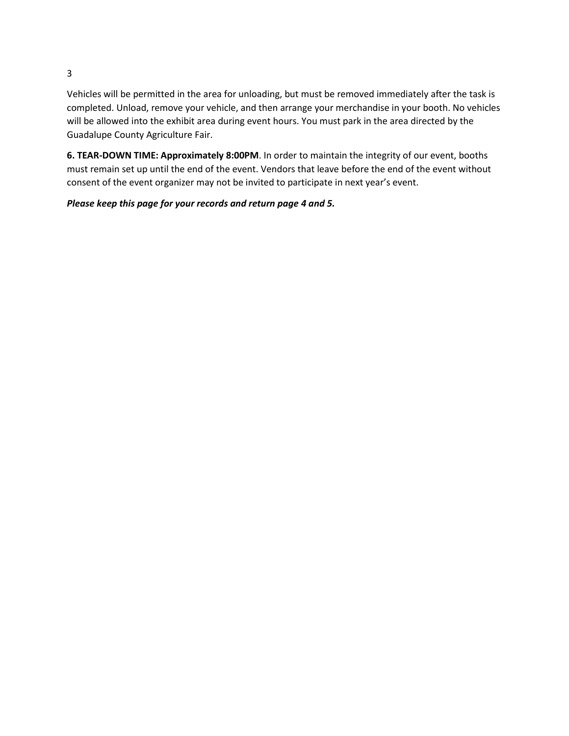Vehicles will be permitted in the area for unloading, but must be removed immediately after the task is completed. Unload, remove your vehicle, and then arrange your merchandise in your booth. No vehicles will be allowed into the exhibit area during event hours. You must park in the area directed by the Guadalupe County Agriculture Fair.

**6. TEAR-DOWN TIME: Approximately 8:00PM**. In order to maintain the integrity of our event, booths must remain set up until the end of the event. Vendors that leave before the end of the event without consent of the event organizer may not be invited to participate in next year's event.

# *Please keep this page for your records and return page 4 and 5.*

3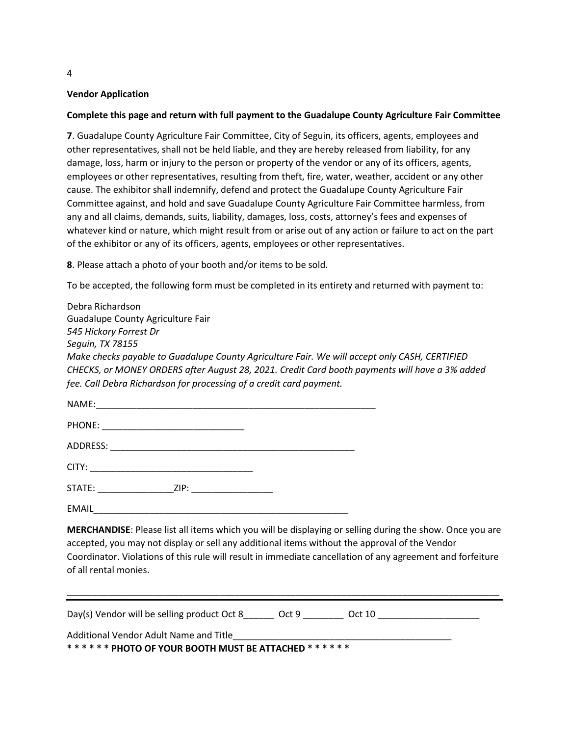## **Vendor Application**

#### **Complete this page and return with full payment to the Guadalupe County Agriculture Fair Committee**

**7**. Guadalupe County Agriculture Fair Committee, City of Seguin, its officers, agents, employees and other representatives, shall not be held liable, and they are hereby released from liability, for any damage, loss, harm or injury to the person or property of the vendor or any of its officers, agents, employees or other representatives, resulting from theft, fire, water, weather, accident or any other cause. The exhibitor shall indemnify, defend and protect the Guadalupe County Agriculture Fair Committee against, and hold and save Guadalupe County Agriculture Fair Committee harmless, from any and all claims, demands, suits, liability, damages, loss, costs, attorney's fees and expenses of whatever kind or nature, which might result from or arise out of any action or failure to act on the part of the exhibitor or any of its officers, agents, employees or other representatives.

**8**. Please attach a photo of your booth and/or items to be sold.

To be accepted, the following form must be completed in its entirety and returned with payment to:

| Debra Richardson                                                                               |
|------------------------------------------------------------------------------------------------|
| Guadalupe County Agriculture Fair                                                              |
| 545 Hickory Forrest Dr                                                                         |
| Sequin, TX 78155                                                                               |
| Make checks payable to Guadalupe County Agriculture Fair. We will accept only CASH, CERTIFIED  |
| CHECKS, or MONEY ORDERS after August 28, 2021. Credit Card booth payments will have a 3% added |
| fee. Call Debra Richardson for processing of a credit card payment.                            |
|                                                                                                |

| NAME:                                                                                                                                                                                                                          | the control of the control of the control of the control of the control of the control of |                                                                                                                      |  |  |
|--------------------------------------------------------------------------------------------------------------------------------------------------------------------------------------------------------------------------------|-------------------------------------------------------------------------------------------|----------------------------------------------------------------------------------------------------------------------|--|--|
|                                                                                                                                                                                                                                |                                                                                           |                                                                                                                      |  |  |
|                                                                                                                                                                                                                                |                                                                                           |                                                                                                                      |  |  |
|                                                                                                                                                                                                                                |                                                                                           |                                                                                                                      |  |  |
| STATE: and the state of the state of the state of the state of the state of the state of the state of the state of the state of the state of the state of the state of the state of the state of the state of the state of the | ZIP:                                                                                      | <u> 1980 - Jan Barnett, mars and de la partie de la partie de la partie de la partie de la partie de la partie d</u> |  |  |
| <b>EMAIL</b>                                                                                                                                                                                                                   |                                                                                           |                                                                                                                      |  |  |

**MERCHANDISE**: Please list all items which you will be displaying or selling during the show. Once you are accepted, you may not display or sell any additional items without the approval of the Vendor Coordinator. Violations of this rule will result in immediate cancellation of any agreement and forfeiture of all rental monies.

\_\_\_\_\_\_\_\_\_\_\_\_\_\_\_\_\_\_\_\_\_\_\_\_\_\_\_\_\_\_\_\_\_\_\_\_\_\_\_\_\_\_\_\_\_\_\_\_\_\_\_\_\_\_\_\_\_\_\_\_\_\_\_\_\_\_\_\_\_\_\_\_\_\_\_\_\_\_\_\_\_\_\_\_\_

Day(s) Vendor will be selling product Oct 8 \_\_\_\_\_\_ Oct 9 \_\_\_\_\_\_\_ Oct 10

Additional Vendor Adult Name and Title

**\* \* \* \* \* \* PHOTO OF YOUR BOOTH MUST BE ATTACHED \* \* \* \* \* \*** 

4